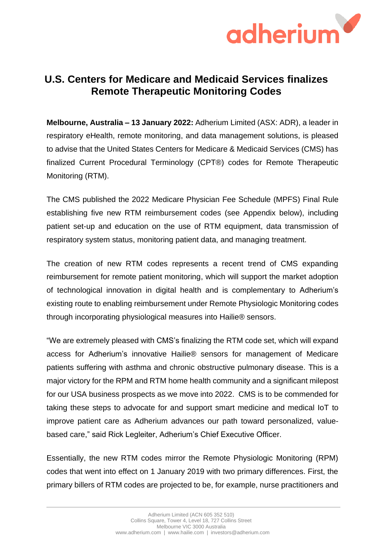

# **U.S. Centers for Medicare and Medicaid Services finalizes Remote Therapeutic Monitoring Codes**

**Melbourne, Australia – 13 January 2022:** Adherium Limited (ASX: ADR), a leader in respiratory eHealth, remote monitoring, and data management solutions, is pleased to advise that the United States Centers for Medicare & Medicaid Services (CMS) has finalized Current Procedural Terminology (CPT®) codes for Remote Therapeutic Monitoring (RTM).

The CMS published the 2022 Medicare Physician Fee Schedule (MPFS) Final Rule establishing five new RTM reimbursement codes (see Appendix below), including patient set-up and education on the use of RTM equipment, data transmission of respiratory system status, monitoring patient data, and managing treatment.

The creation of new RTM codes represents a recent trend of CMS expanding reimbursement for remote patient monitoring, which will support the market adoption of technological innovation in digital health and is complementary to Adherium's existing route to enabling reimbursement under Remote Physiologic Monitoring codes through incorporating physiological measures into Hailie® sensors.

"We are extremely pleased with CMS's finalizing the RTM code set, which will expand access for Adherium's innovative Hailie® sensors for management of Medicare patients suffering with asthma and chronic obstructive pulmonary disease. This is a major victory for the RPM and RTM home health community and a significant milepost for our USA business prospects as we move into 2022. CMS is to be commended for taking these steps to advocate for and support smart medicine and medical IoT to improve patient care as Adherium advances our path toward personalized, valuebased care," said Rick Legleiter, Adherium's Chief Executive Officer.

Essentially, the new RTM codes mirror the Remote Physiologic Monitoring (RPM) codes that went into effect on 1 January 2019 with two primary differences. First, the primary billers of RTM codes are projected to be, for example, nurse practitioners and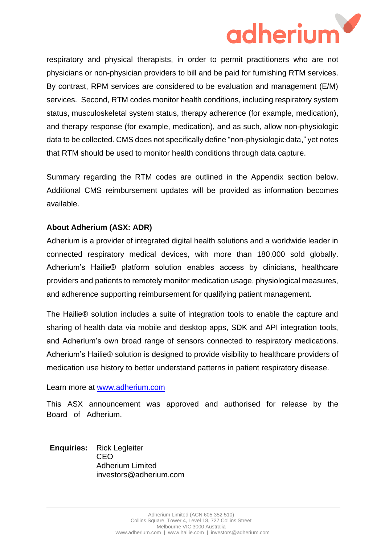

respiratory and physical therapists, in order to permit practitioners who are not physicians or non-physician providers to bill and be paid for furnishing RTM services. By contrast, RPM services are considered to be evaluation and management (E/M) services. Second, RTM codes monitor health conditions, including respiratory system status, musculoskeletal system status, therapy adherence (for example, medication), and therapy response (for example, medication), and as such, allow non-physiologic data to be collected. CMS does not specifically define "non-physiologic data," yet notes that RTM should be used to monitor health conditions through data capture.

Summary regarding the RTM codes are outlined in the Appendix section below. Additional CMS reimbursement updates will be provided as information becomes available.

## **About Adherium (ASX: ADR)**

Adherium is a provider of integrated digital health solutions and a worldwide leader in connected respiratory medical devices, with more than 180,000 sold globally. Adherium's Hailie® platform solution enables access by clinicians, healthcare providers and patients to remotely monitor medication usage, physiological measures, and adherence supporting reimbursement for qualifying patient management.

The Hailie® solution includes a suite of integration tools to enable the capture and sharing of health data via mobile and desktop apps, SDK and API integration tools, and Adherium's own broad range of sensors connected to respiratory medications. Adherium's Hailie® solution is designed to provide visibility to healthcare providers of medication use history to better understand patterns in patient respiratory disease.

#### Learn more at [www.adherium.com](about:blank)

This ASX announcement was approved and authorised for release by the Board of Adherium.

**Enquiries:** Rick Legleiter CEO Adherium Limited investors@adherium.com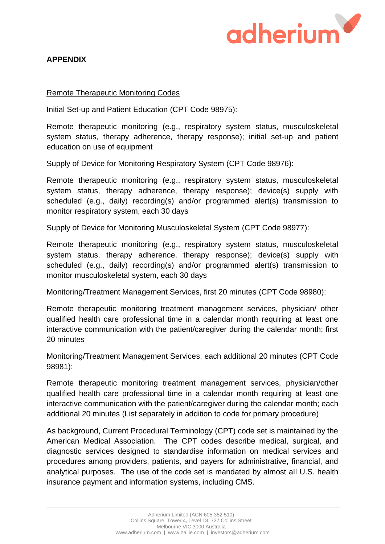

## **APPENDIX**

### Remote Therapeutic Monitoring Codes

Initial Set-up and Patient Education (CPT Code 98975):

Remote therapeutic monitoring (e.g., respiratory system status, musculoskeletal system status, therapy adherence, therapy response); initial set-up and patient education on use of equipment

Supply of Device for Monitoring Respiratory System (CPT Code 98976):

Remote therapeutic monitoring (e.g., respiratory system status, musculoskeletal system status, therapy adherence, therapy response); device(s) supply with scheduled (e.g., daily) recording(s) and/or programmed alert(s) transmission to monitor respiratory system, each 30 days

Supply of Device for Monitoring Musculoskeletal System (CPT Code 98977):

Remote therapeutic monitoring (e.g., respiratory system status, musculoskeletal system status, therapy adherence, therapy response); device(s) supply with scheduled (e.g., daily) recording(s) and/or programmed alert(s) transmission to monitor musculoskeletal system, each 30 days

Monitoring/Treatment Management Services, first 20 minutes (CPT Code 98980):

Remote therapeutic monitoring treatment management services, physician/ other qualified health care professional time in a calendar month requiring at least one interactive communication with the patient/caregiver during the calendar month; first 20 minutes

Monitoring/Treatment Management Services, each additional 20 minutes (CPT Code 98981):

Remote therapeutic monitoring treatment management services, physician/other qualified health care professional time in a calendar month requiring at least one interactive communication with the patient/caregiver during the calendar month; each additional 20 minutes (List separately in addition to code for primary procedure)

As background, Current Procedural Terminology (CPT) code set is maintained by the American Medical Association. The CPT codes describe medical, surgical, and diagnostic services designed to standardise information on medical services and procedures among providers, patients, and payers for administrative, financial, and analytical purposes. The use of the code set is mandated by almost all U.S. health insurance payment and information systems, including CMS.